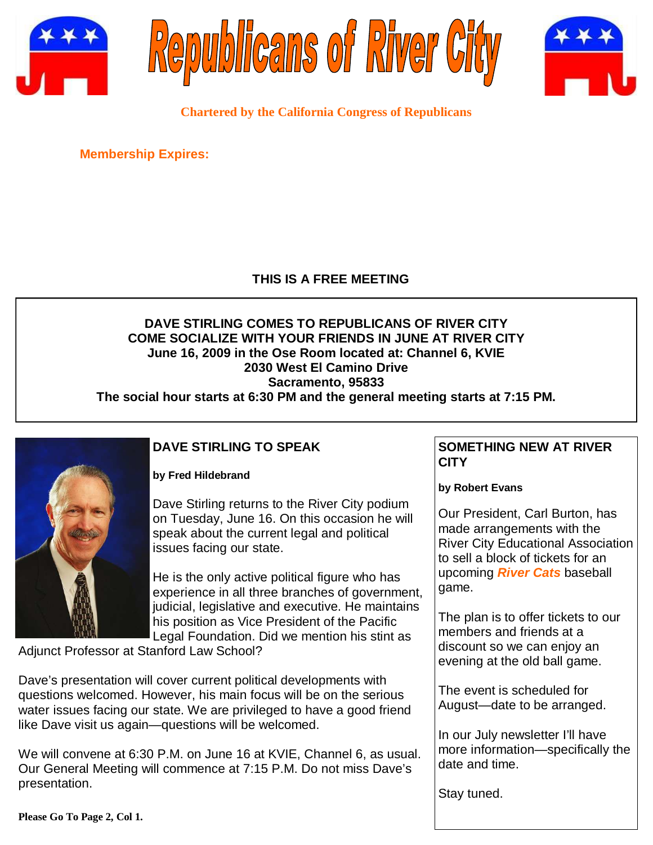





**Chartered by the California Congress of Republicans** 

**Membership Expires:** 

## **THIS IS A FREE MEETING**

## **DAVE STIRLING COMES TO REPUBLICANS OF RIVER CITY COME SOCIALIZE WITH YOUR FRIENDS IN JUNE AT RIVER CITY June 16, 2009 in the Ose Room located at: Channel 6, KVIE 2030 West El Camino Drive Sacramento, 95833**

**The social hour starts at 6:30 PM and the general meeting starts at 7:15 PM.** 



## **DAVE STIRLING TO SPEAK**

**by Fred Hildebrand** 

Dave Stirling returns to the River City podium on Tuesday, June 16. On this occasion he will speak about the current legal and political issues facing our state.

He is the only active political figure who has experience in all three branches of government, judicial, legislative and executive. He maintains his position as Vice President of the Pacific Legal Foundation. Did we mention his stint as

Adjunct Professor at Stanford Law School?

Dave's presentation will cover current political developments with questions welcomed. However, his main focus will be on the serious water issues facing our state. We are privileged to have a good friend like Dave visit us again—questions will be welcomed.

We will convene at 6:30 P.M. on June 16 at KVIE, Channel 6, as usual. Our General Meeting will commence at 7:15 P.M. Do not miss Dave's presentation.

## **SOMETHING NEW AT RIVER CITY**

**by Robert Evans** 

Our President, Carl Burton, has made arrangements with the River City Educational Association to sell a block of tickets for an upcoming **River Cats** baseball game.

The plan is to offer tickets to our members and friends at a discount so we can enjoy an evening at the old ball game.

The event is scheduled for August—date to be arranged.

In our July newsletter I'll have more information—specifically the date and time.

Stay tuned.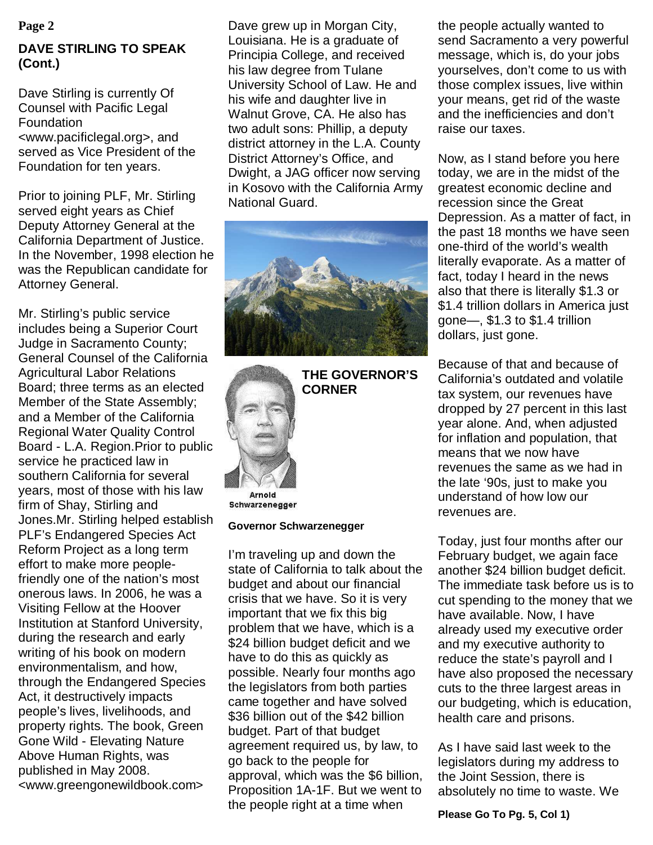## **DAVE STIRLING TO SPEAK (Cont.)**

Dave Stirling is currently Of Counsel with Pacific Legal Foundation <www.pacificlegal.org>, and served as Vice President of the Foundation for ten years.

Prior to joining PLF, Mr. Stirling served eight years as Chief Deputy Attorney General at the California Department of Justice. In the November, 1998 election he was the Republican candidate for Attorney General.

Mr. Stirling's public service includes being a Superior Court Judge in Sacramento County; General Counsel of the California Agricultural Labor Relations Board; three terms as an elected Member of the State Assembly; and a Member of the California Regional Water Quality Control Board - L.A. Region.Prior to public service he practiced law in southern California for several years, most of those with his law firm of Shay, Stirling and Jones.Mr. Stirling helped establish PLF's Endangered Species Act Reform Project as a long term effort to make more peoplefriendly one of the nation's most onerous laws. In 2006, he was a Visiting Fellow at the Hoover Institution at Stanford University, during the research and early writing of his book on modern environmentalism, and how, through the Endangered Species Act, it destructively impacts people's lives, livelihoods, and property rights. The book, Green Gone Wild - Elevating Nature Above Human Rights, was published in May 2008. <www.greengonewildbook.com>

**Page 2** Dave grew up in Morgan City, Louisiana. He is a graduate of Principia College, and received his law degree from Tulane University School of Law. He and his wife and daughter live in Walnut Grove, CA. He also has two adult sons: Phillip, a deputy district attorney in the L.A. County District Attorney's Office, and Dwight, a JAG officer now serving in Kosovo with the California Army National Guard.





**THE GOVERNOR'S CORNER** 

Schwarzenegger

#### **Governor Schwarzenegger**

I'm traveling up and down the state of California to talk about the budget and about our financial crisis that we have. So it is very important that we fix this big problem that we have, which is a \$24 billion budget deficit and we have to do this as quickly as possible. Nearly four months ago the legislators from both parties came together and have solved \$36 billion out of the \$42 billion budget. Part of that budget agreement required us, by law, to go back to the people for approval, which was the \$6 billion, Proposition 1A-1F. But we went to the people right at a time when

the people actually wanted to send Sacramento a very powerful message, which is, do your jobs yourselves, don't come to us with those complex issues, live within your means, get rid of the waste and the inefficiencies and don't raise our taxes.

Now, as I stand before you here today, we are in the midst of the greatest economic decline and recession since the Great Depression. As a matter of fact, in the past 18 months we have seen one-third of the world's wealth literally evaporate. As a matter of fact, today I heard in the news also that there is literally \$1.3 or \$1.4 trillion dollars in America just gone—, \$1.3 to \$1.4 trillion dollars, just gone.

Because of that and because of California's outdated and volatile tax system, our revenues have dropped by 27 percent in this last year alone. And, when adjusted for inflation and population, that means that we now have revenues the same as we had in the late '90s, just to make you understand of how low our revenues are.

Today, just four months after our February budget, we again face another \$24 billion budget deficit. The immediate task before us is to cut spending to the money that we have available. Now, I have already used my executive order and my executive authority to reduce the state's payroll and I have also proposed the necessary cuts to the three largest areas in our budgeting, which is education, health care and prisons.

As I have said last week to the legislators during my address to the Joint Session, there is absolutely no time to waste. We

**Please Go To Pg. 5, Col 1)**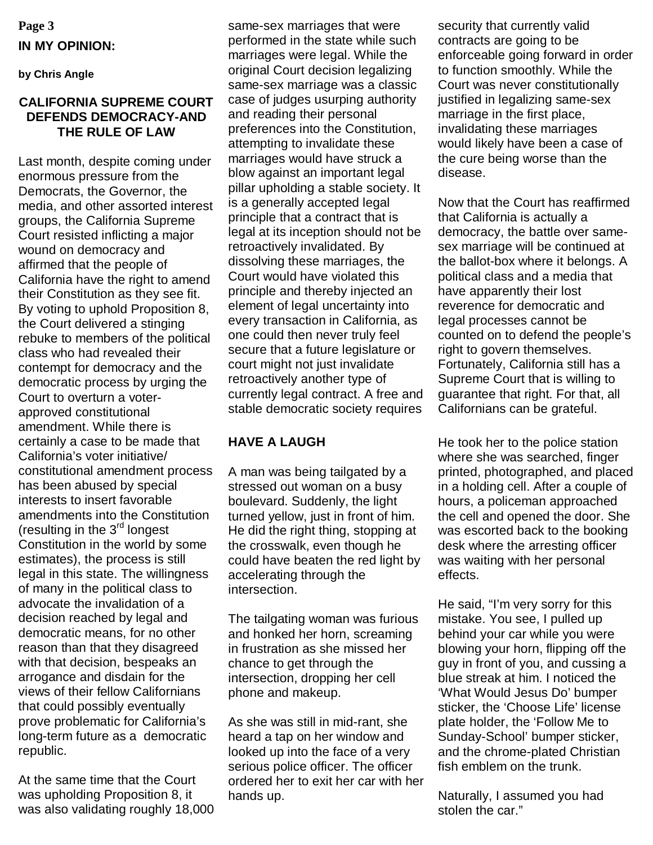# **Page 3 IN MY OPINION:**

**by Chris Angle** 

#### **CALIFORNIA SUPREME COURT DEFENDS DEMOCRACY-AND THE RULE OF LAW**

Last month, despite coming under enormous pressure from the Democrats, the Governor, the media, and other assorted interest groups, the California Supreme Court resisted inflicting a major wound on democracy and affirmed that the people of California have the right to amend their Constitution as they see fit. By voting to uphold Proposition 8, the Court delivered a stinging rebuke to members of the political class who had revealed their contempt for democracy and the democratic process by urging the Court to overturn a voterapproved constitutional amendment. While there is certainly a case to be made that California's voter initiative/ constitutional amendment process has been abused by special interests to insert favorable amendments into the Constitution (resulting in the 3rd longest Constitution in the world by some estimates), the process is still legal in this state. The willingness of many in the political class to advocate the invalidation of a decision reached by legal and democratic means, for no other reason than that they disagreed with that decision, bespeaks an arrogance and disdain for the views of their fellow Californians that could possibly eventually prove problematic for California's long-term future as a democratic republic.

At the same time that the Court was upholding Proposition 8, it was also validating roughly 18,000 same-sex marriages that were performed in the state while such marriages were legal. While the original Court decision legalizing same-sex marriage was a classic case of judges usurping authority and reading their personal preferences into the Constitution, attempting to invalidate these marriages would have struck a blow against an important legal pillar upholding a stable society. It is a generally accepted legal principle that a contract that is legal at its inception should not be retroactively invalidated. By dissolving these marriages, the Court would have violated this principle and thereby injected an element of legal uncertainty into every transaction in California, as one could then never truly feel secure that a future legislature or court might not just invalidate retroactively another type of currently legal contract. A free and stable democratic society requires

## **HAVE A LAUGH**

A man was being tailgated by a stressed out woman on a busy boulevard. Suddenly, the light turned yellow, just in front of him. He did the right thing, stopping at the crosswalk, even though he could have beaten the red light by accelerating through the intersection.

The tailgating woman was furious and honked her horn, screaming in frustration as she missed her chance to get through the intersection, dropping her cell phone and makeup.

As she was still in mid-rant, she heard a tap on her window and looked up into the face of a very serious police officer. The officer ordered her to exit her car with her hands up.

security that currently valid contracts are going to be enforceable going forward in order to function smoothly. While the Court was never constitutionally justified in legalizing same-sex marriage in the first place, invalidating these marriages would likely have been a case of the cure being worse than the disease.

Now that the Court has reaffirmed that California is actually a democracy, the battle over samesex marriage will be continued at the ballot-box where it belongs. A political class and a media that have apparently their lost reverence for democratic and legal processes cannot be counted on to defend the people's right to govern themselves. Fortunately, California still has a Supreme Court that is willing to guarantee that right. For that, all Californians can be grateful.

He took her to the police station where she was searched, finger printed, photographed, and placed in a holding cell. After a couple of hours, a policeman approached the cell and opened the door. She was escorted back to the booking desk where the arresting officer was waiting with her personal effects.

He said, "I'm very sorry for this mistake. You see, I pulled up behind your car while you were blowing your horn, flipping off the guy in front of you, and cussing a blue streak at him. I noticed the 'What Would Jesus Do' bumper sticker, the 'Choose Life' license plate holder, the 'Follow Me to Sunday-School' bumper sticker, and the chrome-plated Christian fish emblem on the trunk.

Naturally, I assumed you had stolen the car."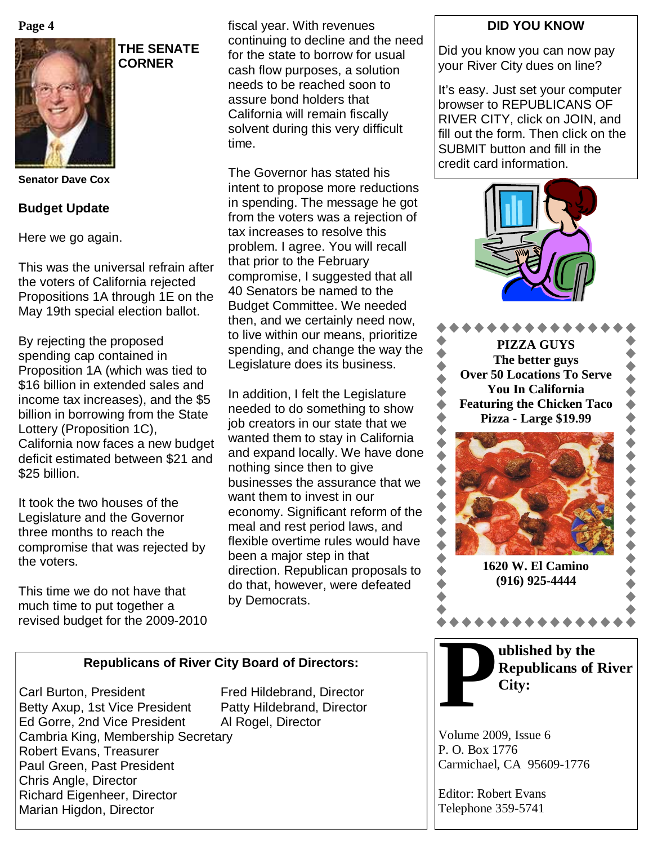**Page 4**



**THE SENATE CORNER** 

**Senator Dave Cox** 

#### **Budget Update**

Here we go again.

This was the universal refrain after the voters of California rejected Propositions 1A through 1E on the May 19th special election ballot.

By rejecting the proposed spending cap contained in Proposition 1A (which was tied to \$16 billion in extended sales and income tax increases), and the \$5 billion in borrowing from the State Lottery (Proposition 1C), California now faces a new budget deficit estimated between \$21 and \$25 billion.

It took the two houses of the Legislature and the Governor three months to reach the compromise that was rejected by the voters.

This time we do not have that much time to put together a revised budget for the 2009-2010 fiscal year. With revenues continuing to decline and the need for the state to borrow for usual cash flow purposes, a solution needs to be reached soon to assure bond holders that California will remain fiscally solvent during this very difficult time.

The Governor has stated his intent to propose more reductions in spending. The message he got from the voters was a rejection of tax increases to resolve this problem. I agree. You will recall that prior to the February compromise, I suggested that all 40 Senators be named to the Budget Committee. We needed then, and we certainly need now, to live within our means, prioritize spending, and change the way the Legislature does its business.

In addition, I felt the Legislature needed to do something to show job creators in our state that we wanted them to stay in California and expand locally. We have done nothing since then to give businesses the assurance that we want them to invest in our economy. Significant reform of the meal and rest period laws, and flexible overtime rules would have been a major step in that direction. Republican proposals to do that, however, were defeated by Democrats.

#### **DID YOU KNOW**

Did you know you can now pay your River City dues on line?

It's easy. Just set your computer browser to REPUBLICANS OF RIVER CITY, click on JOIN, and fill out the form. Then click on the SUBMIT button and fill in the credit card information.







**P P ublished by the Republicans of <b>P City: Republicans of River City:** 

Volume 2009, Issue 6 P. O. Box 1776 Carmichael, CA 95609-1776

Editor: Robert Evans Telephone 359-5741

### **Republicans of River City Board of Directors:**

Carl Burton, President Fred Hildebrand, Director Betty Axup, 1st Vice President Patty Hildebrand, Director Ed Gorre, 2nd Vice President Al Rogel, Director Cambria King, Membership Secretary Robert Evans, Treasurer Paul Green, Past President Chris Angle, Director Richard Eigenheer, Director Marian Higdon, Director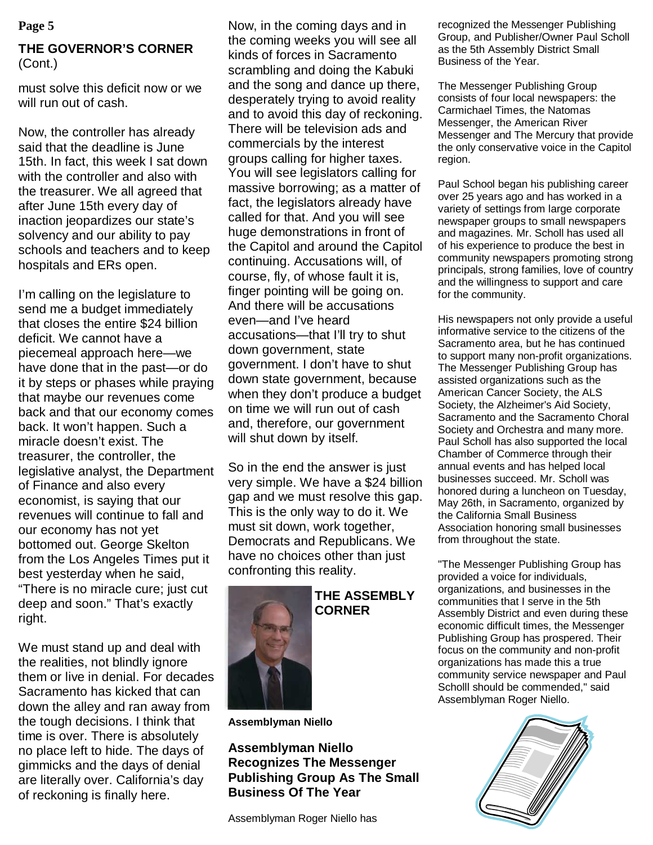## **THE GOVERNOR'S CORNER**  (Cont.)

must solve this deficit now or we will run out of cash.

Now, the controller has already said that the deadline is June 15th. In fact, this week I sat down with the controller and also with the treasurer. We all agreed that after June 15th every day of inaction jeopardizes our state's solvency and our ability to pay schools and teachers and to keep hospitals and ERs open.

I'm calling on the legislature to send me a budget immediately that closes the entire \$24 billion deficit. We cannot have a piecemeal approach here—we have done that in the past—or do it by steps or phases while praying that maybe our revenues come back and that our economy comes back. It won't happen. Such a miracle doesn't exist. The treasurer, the controller, the legislative analyst, the Department of Finance and also every economist, is saying that our revenues will continue to fall and our economy has not yet bottomed out. George Skelton from the Los Angeles Times put it best yesterday when he said, "There is no miracle cure; just cut deep and soon." That's exactly right.

We must stand up and deal with the realities, not blindly ignore them or live in denial. For decades Sacramento has kicked that can down the alley and ran away from the tough decisions. I think that time is over. There is absolutely no place left to hide. The days of gimmicks and the days of denial are literally over. California's day of reckoning is finally here.

**Page 5 Resection Club Example 2 Row, in the coming days and in recognized the Messenger Publishing** the coming weeks you will see all kinds of forces in Sacramento scrambling and doing the Kabuki and the song and dance up there, desperately trying to avoid reality and to avoid this day of reckoning. There will be television ads and commercials by the interest groups calling for higher taxes. You will see legislators calling for massive borrowing; as a matter of fact, the legislators already have called for that. And you will see huge demonstrations in front of the Capitol and around the Capitol continuing. Accusations will, of course, fly, of whose fault it is, finger pointing will be going on. And there will be accusations even—and I've heard accusations—that I'll try to shut down government, state government. I don't have to shut down state government, because when they don't produce a budget on time we will run out of cash and, therefore, our government will shut down by itself.

> So in the end the answer is just very simple. We have a \$24 billion gap and we must resolve this gap. This is the only way to do it. We must sit down, work together, Democrats and Republicans. We have no choices other than just confronting this reality.



**THE ASSEMBLY CORNER** 

**Assemblyman Niello** 

**Assemblyman Niello Recognizes The Messenger Publishing Group As The Small Business Of The Year** 

Assemblyman Roger Niello has

Group, and Publisher/Owner Paul Scholl as the 5th Assembly District Small Business of the Year.

The Messenger Publishing Group consists of four local newspapers: the Carmichael Times, the Natomas Messenger, the American River Messenger and The Mercury that provide the only conservative voice in the Capitol region.

Paul School began his publishing career over 25 years ago and has worked in a variety of settings from large corporate newspaper groups to small newspapers and magazines. Mr. Scholl has used all of his experience to produce the best in community newspapers promoting strong principals, strong families, love of country and the willingness to support and care for the community.

His newspapers not only provide a useful informative service to the citizens of the Sacramento area, but he has continued to support many non-profit organizations. The Messenger Publishing Group has assisted organizations such as the American Cancer Society, the ALS Society, the Alzheimer's Aid Society, Sacramento and the Sacramento Choral Society and Orchestra and many more. Paul Scholl has also supported the local Chamber of Commerce through their annual events and has helped local businesses succeed. Mr. Scholl was honored during a luncheon on Tuesday, May 26th, in Sacramento, organized by the California Small Business Association honoring small businesses from throughout the state.

"The Messenger Publishing Group has provided a voice for individuals, organizations, and businesses in the communities that I serve in the 5th Assembly District and even during these economic difficult times, the Messenger Publishing Group has prospered. Their focus on the community and non-profit organizations has made this a true community service newspaper and Paul Scholll should be commended," said Assemblyman Roger Niello.